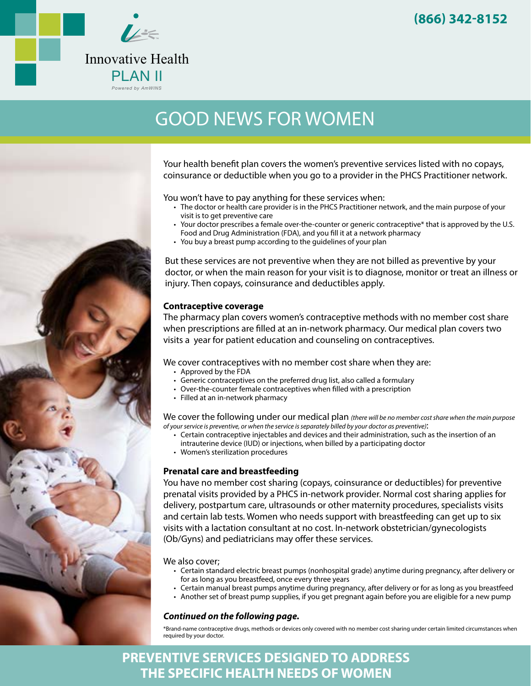

# GOOD NEWS FOR WOMEN



You won't have to pay anything for these services when:

- The doctor or health care provider is in the PHCS Practitioner network, and the main purpose of your visit is to get preventive care
- Your doctor prescribes a female over-the-counter or generic contraceptive\* that is approved by the U.S. Food and Drug Administration (FDA), and you fill it at a network pharmacy
- You buy a breast pump according to the guidelines of your plan

But these services are not preventive when they are not billed as preventive by your doctor, or when the main reason for your visit is to diagnose, monitor or treat an illness or injury. Then copays, coinsurance and deductibles apply.

#### **Contraceptive coverage**

The pharmacy plan covers women's contraceptive methods with no member cost share when prescriptions are filled at an in-network pharmacy. Our medical plan covers two visits a year for patient education and counseling on contraceptives.

We cover contraceptives with no member cost share when they are:

- Approved by the FDA
- Generic contraceptives on the preferred drug list, also called a formulary
- Over-the-counter female contraceptives when filled with a prescription
- Filled at an in-network pharmacy

We cover the following under our medical plan *(there will be no member cost share when the main purpose of your service is preventive, or when the service is separately billed by your doctor as preventive)*:

- Certain contraceptive injectables and devices and their administration, such as the insertion of an intrauterine device (IUD) or injections, when billed by a participating doctor
- Women's sterilization procedures

### **Prenatal care and breastfeeding**

You have no member cost sharing (copays, coinsurance or deductibles) for preventive prenatal visits provided by a PHCS in-network provider. Normal cost sharing applies for delivery, postpartum care, ultrasounds or other maternity procedures, specialists visits and certain lab tests. Women who needs support with breastfeeding can get up to six visits with a lactation consultant at no cost. In-network obstetrician/gynecologists (Ob/Gyns) and pediatricians may offer these services.

We also cover;

- Certain standard electric breast pumps (nonhospital grade) anytime during pregnancy, after delivery or for as long as you breastfeed, once every three years
- Certain manual breast pumps anytime during pregnancy, after delivery or for as long as you breastfeed
- Another set of breast pump supplies, if you get pregnant again before you are eligible for a new pump

#### *Continued on the following page.*

\*Brand-name contraceptive drugs, methods or devices only covered with no member cost sharing under certain limited circumstances when required by your doctor.

## **PREVENTIVE SERVICES DESIGNED TO ADDRESS THE SPECIFIC HEALTH NEEDS OF WOMEN**